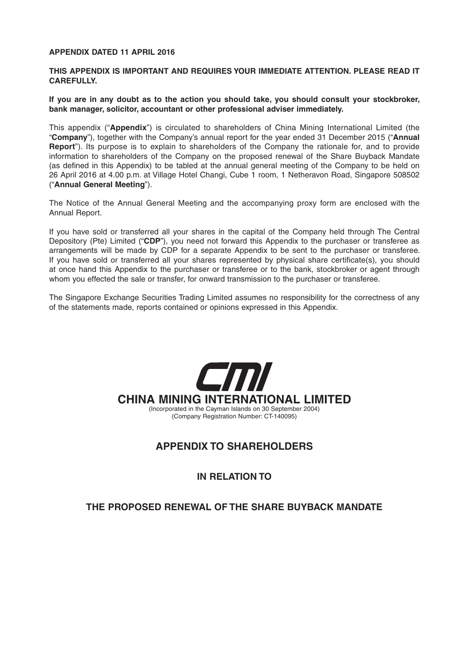# **APPENDIX DATED 11 APRIL 2016**

# **THIS APPENDIX IS IMPORTANT AND REQUIRES YOUR IMMEDIATE ATTENTION. PLEASE READ IT CAREFULLY.**

**If you are in any doubt as to the action you should take, you should consult your stockbroker, bank manager, solicitor, accountant or other professional adviser immediately.**

This appendix ("**Appendix**") is circulated to shareholders of China Mining International Limited (the "**Company**"), together with the Company's annual report for the year ended 31 December 2015 ("**Annual Report**"). Its purpose is to explain to shareholders of the Company the rationale for, and to provide information to shareholders of the Company on the proposed renewal of the Share Buyback Mandate (as defined in this Appendix) to be tabled at the annual general meeting of the Company to be held on 26 April 2016 at 4.00 p.m. at Village Hotel Changi, Cube 1 room, 1 Netheravon Road, Singapore 508502 ("**Annual General Meeting**").

The Notice of the Annual General Meeting and the accompanying proxy form are enclosed with the Annual Report.

If you have sold or transferred all your shares in the capital of the Company held through The Central Depository (Pte) Limited ("**CDP**"), you need not forward this Appendix to the purchaser or transferee as arrangements will be made by CDP for a separate Appendix to be sent to the purchaser or transferee. If you have sold or transferred all your shares represented by physical share certificate(s), you should at once hand this Appendix to the purchaser or transferee or to the bank, stockbroker or agent through whom you effected the sale or transfer, for onward transmission to the purchaser or transferee.

The Singapore Exchange Securities Trading Limited assumes no responsibility for the correctness of any of the statements made, reports contained or opinions expressed in this Appendix.



# **APPENDIX TO SHAREHOLDERS**

**IN RELATION TO**

# **THE PROPOSED RENEWAL OF THE SHARE BUYBACK MANDATE**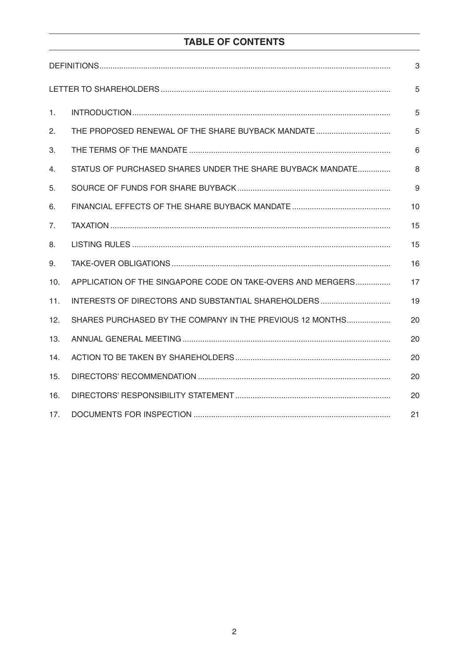# **TABLE OF CONTENTS**

|     |                                                             | 3  |
|-----|-------------------------------------------------------------|----|
|     |                                                             | 5  |
| 1.  |                                                             | 5  |
| 2.  |                                                             | 5  |
| 3.  |                                                             | 6  |
| 4.  | STATUS OF PURCHASED SHARES UNDER THE SHARE BUYBACK MANDATE  | 8  |
| 5.  |                                                             | 9  |
| 6.  |                                                             | 10 |
| 7.  |                                                             | 15 |
| 8.  |                                                             | 15 |
| 9.  |                                                             | 16 |
| 10. | APPLICATION OF THE SINGAPORE CODE ON TAKE-OVERS AND MERGERS | 17 |
| 11. |                                                             | 19 |
| 12. | SHARES PURCHASED BY THE COMPANY IN THE PREVIOUS 12 MONTHS   | 20 |
| 13. |                                                             | 20 |
| 14. |                                                             | 20 |
| 15. |                                                             | 20 |
| 16. |                                                             | 20 |
| 17. |                                                             | 21 |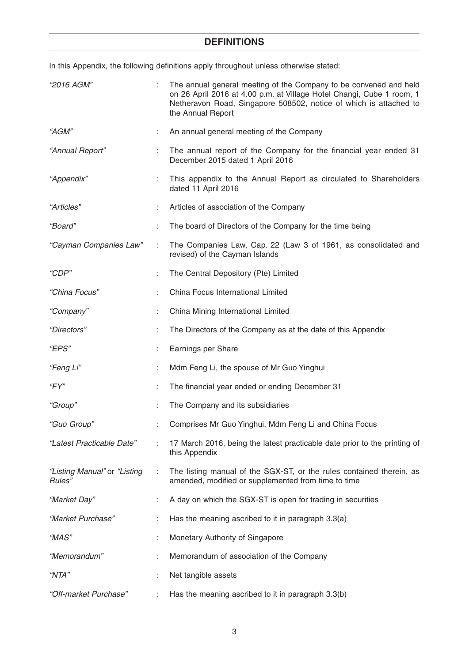# **DEFINITIONS**

In this Appendix, the following definitions apply throughout unless otherwise stated:

| <i>"2016 AGM"</i>                      |    | The annual general meeting of the Company to be convened and held<br>on 26 April 2016 at 4.00 p.m. at Village Hotel Changi, Cube 1 room, 1<br>Netheravon Road, Singapore 508502, notice of which is attached to<br>the Annual Report |
|----------------------------------------|----|--------------------------------------------------------------------------------------------------------------------------------------------------------------------------------------------------------------------------------------|
| "AGM"                                  | ÷. | An annual general meeting of the Company                                                                                                                                                                                             |
| "Annual Report"                        | ÷  | The annual report of the Company for the financial year ended 31<br>December 2015 dated 1 April 2016                                                                                                                                 |
| "Appendix"                             | ÷  | This appendix to the Annual Report as circulated to Shareholders<br>dated 11 April 2016                                                                                                                                              |
| "Articles"                             |    | Articles of association of the Company                                                                                                                                                                                               |
| "Board"                                | ÷  | The board of Directors of the Company for the time being                                                                                                                                                                             |
| "Cayman Companies Law"                 | ÷  | The Companies Law, Cap. 22 (Law 3 of 1961, as consolidated and<br>revised) of the Cayman Islands                                                                                                                                     |
| "CDP"                                  |    | The Central Depository (Pte) Limited                                                                                                                                                                                                 |
| "China Focus"                          |    | China Focus International Limited                                                                                                                                                                                                    |
| "Company"                              |    | China Mining International Limited                                                                                                                                                                                                   |
| "Directors"                            |    | The Directors of the Company as at the date of this Appendix                                                                                                                                                                         |
| "EPS"                                  |    | Earnings per Share                                                                                                                                                                                                                   |
| "Feng Li"                              | ÷  | Mdm Feng Li, the spouse of Mr Guo Yinghui                                                                                                                                                                                            |
| "FY"                                   |    | The financial year ended or ending December 31                                                                                                                                                                                       |
| "Group"                                |    | The Company and its subsidiaries                                                                                                                                                                                                     |
| "Guo Group"                            |    | Comprises Mr Guo Yinghui, Mdm Feng Li and China Focus                                                                                                                                                                                |
| "Latest Practicable Date"              |    | 17 March 2016, being the latest practicable date prior to the printing of<br>this Appendix                                                                                                                                           |
| "Listing Manual" or "Listing<br>Rules" | ÷  | The listing manual of the SGX-ST, or the rules contained therein, as<br>amended, modified or supplemented from time to time                                                                                                          |
| "Market Day"                           |    | A day on which the SGX-ST is open for trading in securities                                                                                                                                                                          |
| "Market Purchase"                      |    | Has the meaning ascribed to it in paragraph 3.3(a)                                                                                                                                                                                   |
| "MAS"                                  |    | Monetary Authority of Singapore                                                                                                                                                                                                      |
| "Memorandum"                           |    | Memorandum of association of the Company                                                                                                                                                                                             |
| "NTA"                                  |    | Net tangible assets                                                                                                                                                                                                                  |
| "Off-market Purchase"                  |    | Has the meaning ascribed to it in paragraph 3.3(b)                                                                                                                                                                                   |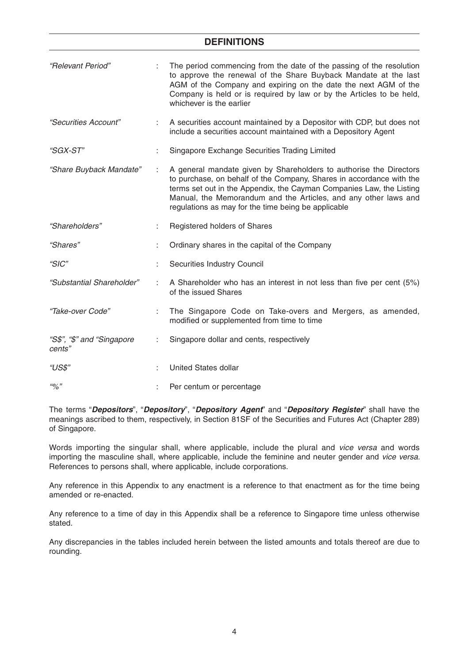# **DEFINITIONS**

| "Relevant Period"                    |    | The period commencing from the date of the passing of the resolution<br>to approve the renewal of the Share Buyback Mandate at the last<br>AGM of the Company and expiring on the date the next AGM of the<br>Company is held or is required by law or by the Articles to be held,<br>whichever is the earlier                               |
|--------------------------------------|----|----------------------------------------------------------------------------------------------------------------------------------------------------------------------------------------------------------------------------------------------------------------------------------------------------------------------------------------------|
| "Securities Account"                 | ÷. | A securities account maintained by a Depositor with CDP, but does not<br>include a securities account maintained with a Depository Agent                                                                                                                                                                                                     |
| <i>"SGX-ST"</i>                      |    | Singapore Exchange Securities Trading Limited                                                                                                                                                                                                                                                                                                |
| "Share Buyback Mandate"              | ÷  | A general mandate given by Shareholders to authorise the Directors<br>to purchase, on behalf of the Company, Shares in accordance with the<br>terms set out in the Appendix, the Cayman Companies Law, the Listing<br>Manual, the Memorandum and the Articles, and any other laws and<br>regulations as may for the time being be applicable |
| "Shareholders"                       |    | Registered holders of Shares                                                                                                                                                                                                                                                                                                                 |
| "Shares"                             |    | Ordinary shares in the capital of the Company                                                                                                                                                                                                                                                                                                |
| "SIC"                                |    | Securities Industry Council                                                                                                                                                                                                                                                                                                                  |
| "Substantial Shareholder"            |    | A Shareholder who has an interest in not less than five per cent (5%)<br>of the issued Shares                                                                                                                                                                                                                                                |
| "Take-over Code"                     | ÷  | The Singapore Code on Take-overs and Mergers, as amended,<br>modified or supplemented from time to time                                                                                                                                                                                                                                      |
| "S\$", "\$" and "Singapore<br>cents" | ÷  | Singapore dollar and cents, respectively                                                                                                                                                                                                                                                                                                     |
| "US\$"                               |    | <b>United States dollar</b>                                                                                                                                                                                                                                                                                                                  |
| 40/2"                                |    | Per centum or percentage                                                                                                                                                                                                                                                                                                                     |

The terms "*Depositors*", "*Depository*", "*Depository Agent*" and "*Depository Register*" shall have the meanings ascribed to them, respectively, in Section 81SF of the Securities and Futures Act (Chapter 289) of Singapore.

Words importing the singular shall, where applicable, include the plural and *vice versa* and words importing the masculine shall, where applicable, include the feminine and neuter gender and *vice versa.*  References to persons shall, where applicable, include corporations.

Any reference in this Appendix to any enactment is a reference to that enactment as for the time being amended or re-enacted.

Any reference to a time of day in this Appendix shall be a reference to Singapore time unless otherwise stated.

Any discrepancies in the tables included herein between the listed amounts and totals thereof are due to rounding.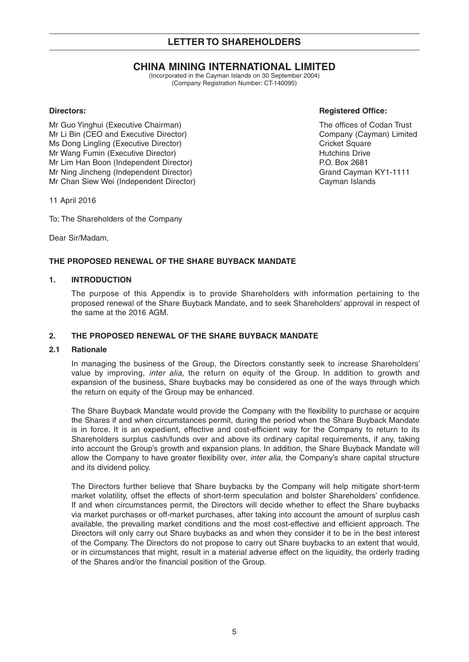# **LETTER TO SHAREHOLDERS**

# **CHINA MINING INTERNATIONAL LIMITED**

(Incorporated in the Cayman Islands on 30 September 2004) (Company Registration Number: CT-140095)

Mr Guo Yinghui (Executive Chairman) The offices of Codan Trust Mr Li Bin (CEO and Executive Director) Company (Cayman) Limited Ms Dong Lingling (Executive Director) and Cricket Square Cricket Square Mr Wang Fumin (Executive Director) and the matter of the Hutchins Drive Mr Lim Han Boon (Independent Director) example the example of P.O. Box 2681 Mr Ning Jincheng (Independent Director) Grand Cayman KY1-1111 Mr Chan Siew Wei (Independent Director) Cayman Islands

**Directors:** Registered Office:

11 April 2016

To: The Shareholders of the Company

Dear Sir/Madam,

# **THE PROPOSED RENEWAL OF THE SHARE BUYBACK MANDATE**

# **1. INTRODUCTION**

 The purpose of this Appendix is to provide Shareholders with information pertaining to the proposed renewal of the Share Buyback Mandate, and to seek Shareholders' approval in respect of the same at the 2016 AGM.

# **2. THE PROPOSED RENEWAL OF THE SHARE BUYBACK MANDATE**

# **2.1 Rationale**

 In managing the business of the Group, the Directors constantly seek to increase Shareholders' value by improving, *inter alia*, the return on equity of the Group. In addition to growth and expansion of the business, Share buybacks may be considered as one of the ways through which the return on equity of the Group may be enhanced.

The Share Buyback Mandate would provide the Company with the flexibility to purchase or acquire the Shares if and when circumstances permit, during the period when the Share Buyback Mandate is in force. It is an expedient, effective and cost-efficient way for the Company to return to its Shareholders surplus cash/funds over and above its ordinary capital requirements, if any, taking into account the Group's growth and expansion plans. In addition, the Share Buyback Mandate will allow the Company to have greater flexibility over, *inter alia*, the Company's share capital structure and its dividend policy.

 The Directors further believe that Share buybacks by the Company will help mitigate short-term market volatility, offset the effects of short-term speculation and bolster Shareholders' confidence. If and when circumstances permit, the Directors will decide whether to effect the Share buybacks via market purchases or off-market purchases, after taking into account the amount of surplus cash available, the prevailing market conditions and the most cost-effective and efficient approach. The Directors will only carry out Share buybacks as and when they consider it to be in the best interest of the Company. The Directors do not propose to carry out Share buybacks to an extent that would, or in circumstances that might, result in a material adverse effect on the liquidity, the orderly trading of the Shares and/or the financial position of the Group.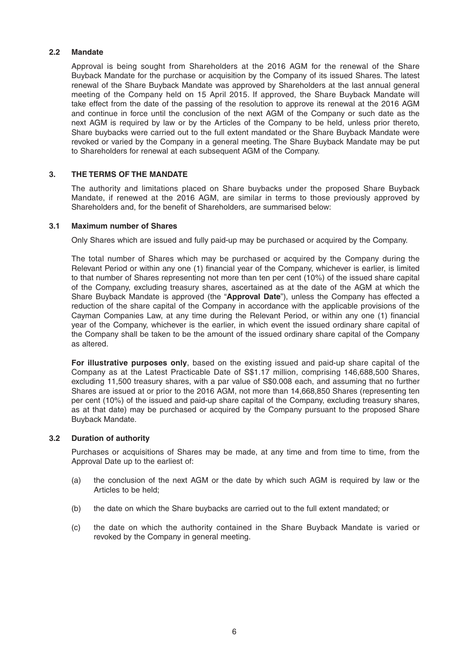# **2.2 Mandate**

 Approval is being sought from Shareholders at the 2016 AGM for the renewal of the Share Buyback Mandate for the purchase or acquisition by the Company of its issued Shares. The latest renewal of the Share Buyback Mandate was approved by Shareholders at the last annual general meeting of the Company held on 15 April 2015. If approved, the Share Buyback Mandate will take effect from the date of the passing of the resolution to approve its renewal at the 2016 AGM and continue in force until the conclusion of the next AGM of the Company or such date as the next AGM is required by law or by the Articles of the Company to be held, unless prior thereto, Share buybacks were carried out to the full extent mandated or the Share Buyback Mandate were revoked or varied by the Company in a general meeting. The Share Buyback Mandate may be put to Shareholders for renewal at each subsequent AGM of the Company.

# **3. THE TERMS OF THE MANDATE**

 The authority and limitations placed on Share buybacks under the proposed Share Buyback Mandate, if renewed at the 2016 AGM, are similar in terms to those previously approved by Shareholders and, for the benefit of Shareholders, are summarised below:

# **3.1 Maximum number of Shares**

Only Shares which are issued and fully paid-up may be purchased or acquired by the Company.

 The total number of Shares which may be purchased or acquired by the Company during the Relevant Period or within any one (1) financial year of the Company, whichever is earlier, is limited to that number of Shares representing not more than ten per cent (10%) of the issued share capital of the Company, excluding treasury shares, ascertained as at the date of the AGM at which the Share Buyback Mandate is approved (the "**Approval Date**"), unless the Company has effected a reduction of the share capital of the Company in accordance with the applicable provisions of the Cayman Companies Law, at any time during the Relevant Period, or within any one (1) financial year of the Company, whichever is the earlier, in which event the issued ordinary share capital of the Company shall be taken to be the amount of the issued ordinary share capital of the Company as altered.

 **For illustrative purposes only**, based on the existing issued and paid-up share capital of the Company as at the Latest Practicable Date of S\$1.17 million, comprising 146,688,500 Shares, excluding 11,500 treasury shares, with a par value of S\$0.008 each, and assuming that no further Shares are issued at or prior to the 2016 AGM, not more than 14,668,850 Shares (representing ten per cent (10%) of the issued and paid-up share capital of the Company, excluding treasury shares, as at that date) may be purchased or acquired by the Company pursuant to the proposed Share Buyback Mandate.

# **3.2 Duration of authority**

 Purchases or acquisitions of Shares may be made, at any time and from time to time, from the Approval Date up to the earliest of:

- (a) the conclusion of the next AGM or the date by which such AGM is required by law or the Articles to be held;
- (b) the date on which the Share buybacks are carried out to the full extent mandated; or
- (c) the date on which the authority contained in the Share Buyback Mandate is varied or revoked by the Company in general meeting.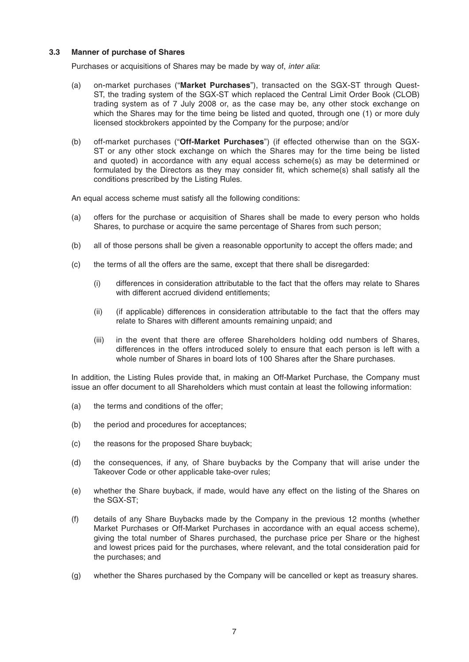# **3.3 Manner of purchase of Shares**

Purchases or acquisitions of Shares may be made by way of, *inter alia*:

- (a) on-market purchases ("**Market Purchases**"), transacted on the SGX-ST through Quest-ST, the trading system of the SGX-ST which replaced the Central Limit Order Book (CLOB) trading system as of 7 July 2008 or, as the case may be, any other stock exchange on which the Shares may for the time being be listed and quoted, through one (1) or more duly licensed stockbrokers appointed by the Company for the purpose; and/or
- (b) off-market purchases ("**Off-Market Purchases**") (if effected otherwise than on the SGX-ST or any other stock exchange on which the Shares may for the time being be listed and quoted) in accordance with any equal access scheme(s) as may be determined or formulated by the Directors as they may consider fit, which scheme(s) shall satisfy all the conditions prescribed by the Listing Rules.

An equal access scheme must satisfy all the following conditions:

- (a) offers for the purchase or acquisition of Shares shall be made to every person who holds Shares, to purchase or acquire the same percentage of Shares from such person;
- (b) all of those persons shall be given a reasonable opportunity to accept the offers made; and
- (c) the terms of all the offers are the same, except that there shall be disregarded:
	- (i) differences in consideration attributable to the fact that the offers may relate to Shares with different accrued dividend entitlements;
	- (ii) (if applicable) differences in consideration attributable to the fact that the offers may relate to Shares with different amounts remaining unpaid; and
	- (iii) in the event that there are offeree Shareholders holding odd numbers of Shares, differences in the offers introduced solely to ensure that each person is left with a whole number of Shares in board lots of 100 Shares after the Share purchases.

 In addition, the Listing Rules provide that, in making an Off-Market Purchase, the Company must issue an offer document to all Shareholders which must contain at least the following information:

- (a) the terms and conditions of the offer;
- (b) the period and procedures for acceptances;
- (c) the reasons for the proposed Share buyback;
- (d) the consequences, if any, of Share buybacks by the Company that will arise under the Takeover Code or other applicable take-over rules;
- (e) whether the Share buyback, if made, would have any effect on the listing of the Shares on the SGX-ST;
- (f) details of any Share Buybacks made by the Company in the previous 12 months (whether Market Purchases or Off-Market Purchases in accordance with an equal access scheme), giving the total number of Shares purchased, the purchase price per Share or the highest and lowest prices paid for the purchases, where relevant, and the total consideration paid for the purchases; and
- (g) whether the Shares purchased by the Company will be cancelled or kept as treasury shares.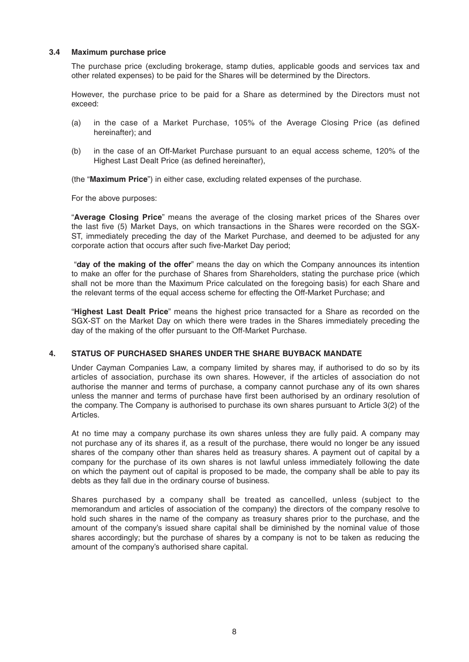# **3.4 Maximum purchase price**

 The purchase price (excluding brokerage, stamp duties, applicable goods and services tax and other related expenses) to be paid for the Shares will be determined by the Directors.

 However, the purchase price to be paid for a Share as determined by the Directors must not exceed:

- (a) in the case of a Market Purchase, 105% of the Average Closing Price (as defined hereinafter); and
- (b) in the case of an Off-Market Purchase pursuant to an equal access scheme, 120% of the Highest Last Dealt Price (as defined hereinafter),

(the "**Maximum Price**") in either case, excluding related expenses of the purchase.

For the above purposes:

 "**Average Closing Price**" means the average of the closing market prices of the Shares over the last five (5) Market Days, on which transactions in the Shares were recorded on the SGX-ST, immediately preceding the day of the Market Purchase, and deemed to be adjusted for any corporate action that occurs after such five-Market Day period;

 "**day of the making of the offer**" means the day on which the Company announces its intention to make an offer for the purchase of Shares from Shareholders, stating the purchase price (which shall not be more than the Maximum Price calculated on the foregoing basis) for each Share and the relevant terms of the equal access scheme for effecting the Off-Market Purchase; and

 "**Highest Last Dealt Price**" means the highest price transacted for a Share as recorded on the SGX-ST on the Market Day on which there were trades in the Shares immediately preceding the day of the making of the offer pursuant to the Off-Market Purchase.

# **4. STATUS OF PURCHASED SHARES UNDER THE SHARE BUYBACK MANDATE**

 Under Cayman Companies Law, a company limited by shares may, if authorised to do so by its articles of association, purchase its own shares. However, if the articles of association do not authorise the manner and terms of purchase, a company cannot purchase any of its own shares unless the manner and terms of purchase have first been authorised by an ordinary resolution of the company. The Company is authorised to purchase its own shares pursuant to Article 3(2) of the Articles.

 At no time may a company purchase its own shares unless they are fully paid. A company may not purchase any of its shares if, as a result of the purchase, there would no longer be any issued shares of the company other than shares held as treasury shares. A payment out of capital by a company for the purchase of its own shares is not lawful unless immediately following the date on which the payment out of capital is proposed to be made, the company shall be able to pay its debts as they fall due in the ordinary course of business.

 Shares purchased by a company shall be treated as cancelled, unless (subject to the memorandum and articles of association of the company) the directors of the company resolve to hold such shares in the name of the company as treasury shares prior to the purchase, and the amount of the company's issued share capital shall be diminished by the nominal value of those shares accordingly; but the purchase of shares by a company is not to be taken as reducing the amount of the company's authorised share capital.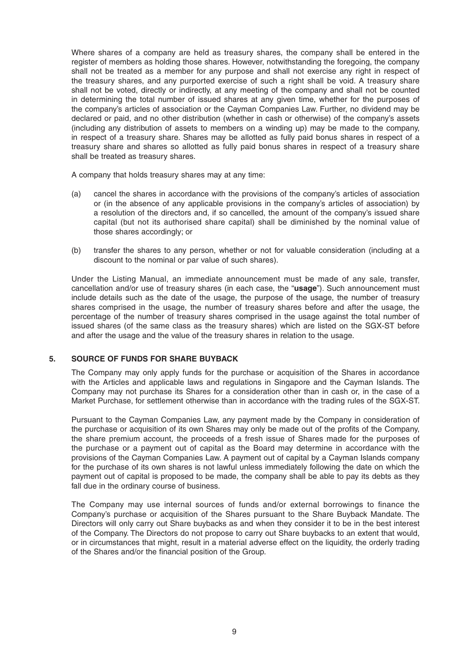Where shares of a company are held as treasury shares, the company shall be entered in the register of members as holding those shares. However, notwithstanding the foregoing, the company shall not be treated as a member for any purpose and shall not exercise any right in respect of the treasury shares, and any purported exercise of such a right shall be void. A treasury share shall not be voted, directly or indirectly, at any meeting of the company and shall not be counted in determining the total number of issued shares at any given time, whether for the purposes of the company's articles of association or the Cayman Companies Law. Further, no dividend may be declared or paid, and no other distribution (whether in cash or otherwise) of the company's assets (including any distribution of assets to members on a winding up) may be made to the company, in respect of a treasury share. Shares may be allotted as fully paid bonus shares in respect of a treasury share and shares so allotted as fully paid bonus shares in respect of a treasury share shall be treated as treasury shares.

A company that holds treasury shares may at any time:

- (a) cancel the shares in accordance with the provisions of the company's articles of association or (in the absence of any applicable provisions in the company's articles of association) by a resolution of the directors and, if so cancelled, the amount of the company's issued share capital (but not its authorised share capital) shall be diminished by the nominal value of those shares accordingly; or
- (b) transfer the shares to any person, whether or not for valuable consideration (including at a discount to the nominal or par value of such shares).

 Under the Listing Manual, an immediate announcement must be made of any sale, transfer, cancellation and/or use of treasury shares (in each case, the "**usage**"). Such announcement must include details such as the date of the usage, the purpose of the usage, the number of treasury shares comprised in the usage, the number of treasury shares before and after the usage, the percentage of the number of treasury shares comprised in the usage against the total number of issued shares (of the same class as the treasury shares) which are listed on the SGX-ST before and after the usage and the value of the treasury shares in relation to the usage.

# **5. SOURCE OF FUNDS FOR SHARE BUYBACK**

 The Company may only apply funds for the purchase or acquisition of the Shares in accordance with the Articles and applicable laws and regulations in Singapore and the Cayman Islands. The Company may not purchase its Shares for a consideration other than in cash or, in the case of a Market Purchase, for settlement otherwise than in accordance with the trading rules of the SGX-ST.

 Pursuant to the Cayman Companies Law, any payment made by the Company in consideration of the purchase or acquisition of its own Shares may only be made out of the profits of the Company, the share premium account, the proceeds of a fresh issue of Shares made for the purposes of the purchase or a payment out of capital as the Board may determine in accordance with the provisions of the Cayman Companies Law. A payment out of capital by a Cayman Islands company for the purchase of its own shares is not lawful unless immediately following the date on which the payment out of capital is proposed to be made, the company shall be able to pay its debts as they fall due in the ordinary course of business.

The Company may use internal sources of funds and/or external borrowings to finance the Company's purchase or acquisition of the Shares pursuant to the Share Buyback Mandate. The Directors will only carry out Share buybacks as and when they consider it to be in the best interest of the Company. The Directors do not propose to carry out Share buybacks to an extent that would, or in circumstances that might, result in a material adverse effect on the liquidity, the orderly trading of the Shares and/or the financial position of the Group.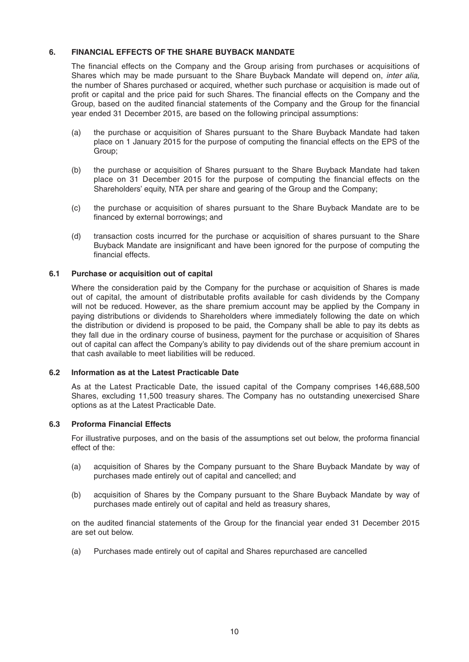# **6. FINANCIAL EFFECTS OF THE SHARE BUYBACK MANDATE**

The financial effects on the Company and the Group arising from purchases or acquisitions of Shares which may be made pursuant to the Share Buyback Mandate will depend on, *inter alia,*  the number of Shares purchased or acquired, whether such purchase or acquisition is made out of profit or capital and the price paid for such Shares. The financial effects on the Company and the Group, based on the audited financial statements of the Company and the Group for the financial year ended 31 December 2015, are based on the following principal assumptions:

- (a) the purchase or acquisition of Shares pursuant to the Share Buyback Mandate had taken place on 1 January 2015 for the purpose of computing the financial effects on the EPS of the Group;
- (b) the purchase or acquisition of Shares pursuant to the Share Buyback Mandate had taken place on 31 December 2015 for the purpose of computing the financial effects on the Shareholders' equity, NTA per share and gearing of the Group and the Company;
- (c) the purchase or acquisition of shares pursuant to the Share Buyback Mandate are to be financed by external borrowings; and
- (d) transaction costs incurred for the purchase or acquisition of shares pursuant to the Share Buyback Mandate are insignificant and have been ignored for the purpose of computing the financial effects.

# **6.1 Purchase or acquisition out of capital**

 Where the consideration paid by the Company for the purchase or acquisition of Shares is made out of capital, the amount of distributable profits available for cash dividends by the Company will not be reduced. However, as the share premium account may be applied by the Company in paying distributions or dividends to Shareholders where immediately following the date on which the distribution or dividend is proposed to be paid, the Company shall be able to pay its debts as they fall due in the ordinary course of business, payment for the purchase or acquisition of Shares out of capital can affect the Company's ability to pay dividends out of the share premium account in that cash available to meet liabilities will be reduced.

# **6.2 Information as at the Latest Practicable Date**

 As at the Latest Practicable Date, the issued capital of the Company comprises 146,688,500 Shares, excluding 11,500 treasury shares. The Company has no outstanding unexercised Share options as at the Latest Practicable Date.

# **6.3 Proforma Financial Effects**

For illustrative purposes, and on the basis of the assumptions set out below, the proforma financial effect of the:

- (a) acquisition of Shares by the Company pursuant to the Share Buyback Mandate by way of purchases made entirely out of capital and cancelled; and
- (b) acquisition of Shares by the Company pursuant to the Share Buyback Mandate by way of purchases made entirely out of capital and held as treasury shares,

on the audited financial statements of the Group for the financial year ended 31 December 2015 are set out below.

(a) Purchases made entirely out of capital and Shares repurchased are cancelled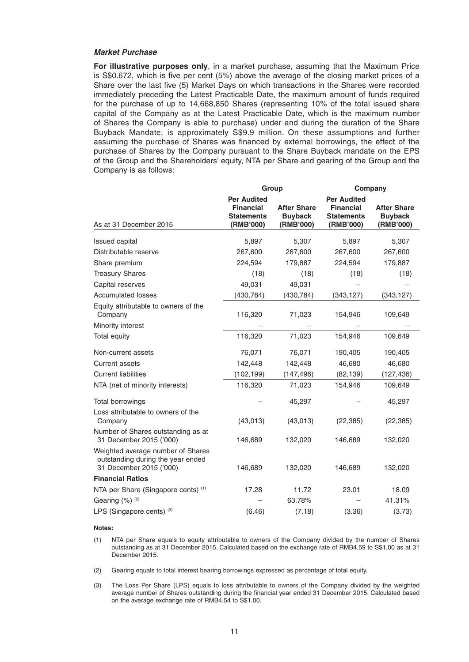#### *Market Purchase*

 **For illustrative purposes only**, in a market purchase, assuming that the Maximum Price is  $S$0.672$ , which is five per cent  $(5%)$  above the average of the closing market prices of a Share over the last five (5) Market Days on which transactions in the Shares were recorded immediately preceding the Latest Practicable Date, the maximum amount of funds required for the purchase of up to 14,668,850 Shares (representing 10% of the total issued share capital of the Company as at the Latest Practicable Date, which is the maximum number of Shares the Company is able to purchase) under and during the duration of the Share Buyback Mandate, is approximately S\$9.9 million. On these assumptions and further assuming the purchase of Shares was financed by external borrowings, the effect of the purchase of Shares by the Company pursuant to the Share Buyback mandate on the EPS of the Group and the Shareholders' equity, NTA per Share and gearing of the Group and the Company is as follows:

|                                                                                                   | Group                                                                    |                                                   |                                                                          | Company                                           |
|---------------------------------------------------------------------------------------------------|--------------------------------------------------------------------------|---------------------------------------------------|--------------------------------------------------------------------------|---------------------------------------------------|
| As at 31 December 2015                                                                            | <b>Per Audited</b><br><b>Financial</b><br><b>Statements</b><br>(RMB'000) | <b>After Share</b><br><b>Buyback</b><br>(RMB'000) | <b>Per Audited</b><br><b>Financial</b><br><b>Statements</b><br>(RMB'000) | <b>After Share</b><br><b>Buyback</b><br>(RMB'000) |
|                                                                                                   |                                                                          |                                                   |                                                                          |                                                   |
| <b>Issued capital</b>                                                                             | 5,897                                                                    | 5,307                                             | 5,897                                                                    | 5,307                                             |
| Distributable reserve                                                                             | 267,600                                                                  | 267,600                                           | 267,600                                                                  | 267,600                                           |
| Share premium                                                                                     | 224,594                                                                  | 179,887                                           | 224,594                                                                  | 179,887                                           |
| <b>Treasury Shares</b>                                                                            | (18)                                                                     | (18)                                              | (18)                                                                     | (18)                                              |
| Capital reserves                                                                                  | 49,031                                                                   | 49,031                                            |                                                                          |                                                   |
| <b>Accumulated losses</b>                                                                         | (430, 784)                                                               | (430, 784)                                        | (343, 127)                                                               | (343, 127)                                        |
| Equity attributable to owners of the<br>Company                                                   | 116,320                                                                  | 71,023                                            | 154,946                                                                  | 109,649                                           |
| Minority interest                                                                                 |                                                                          |                                                   |                                                                          |                                                   |
| Total equity                                                                                      | 116,320                                                                  | 71,023                                            | 154,946                                                                  | 109,649                                           |
| Non-current assets                                                                                | 76,071                                                                   | 76,071                                            | 190,405                                                                  | 190,405                                           |
| <b>Current assets</b>                                                                             | 142,448                                                                  | 142,448                                           | 46,680                                                                   | 46,680                                            |
| <b>Current liabilities</b>                                                                        | (102, 199)                                                               | (147, 496)                                        | (82, 139)                                                                | (127, 436)                                        |
| NTA (net of minority interests)                                                                   | 116,320                                                                  | 71,023                                            | 154,946                                                                  | 109,649                                           |
| Total borrowings                                                                                  |                                                                          | 45,297                                            |                                                                          | 45,297                                            |
| Loss attributable to owners of the<br>Company                                                     | (43, 013)                                                                | (43, 013)                                         | (22, 385)                                                                | (22, 385)                                         |
| Number of Shares outstanding as at<br>31 December 2015 ('000)                                     | 146,689                                                                  | 132,020                                           | 146,689                                                                  | 132,020                                           |
| Weighted average number of Shares<br>outstanding during the year ended<br>31 December 2015 ('000) | 146,689                                                                  | 132,020                                           | 146,689                                                                  | 132,020                                           |
| <b>Financial Ratios</b>                                                                           |                                                                          |                                                   |                                                                          |                                                   |
| NTA per Share (Singapore cents) (1)                                                               | 17.28                                                                    | 11.72                                             | 23.01                                                                    | 18.09                                             |
| Gearing (%) (2)                                                                                   |                                                                          | 63.78%                                            |                                                                          | 41.31%                                            |
| LPS (Singapore cents) <sup>(3)</sup>                                                              | (6.46)                                                                   | (7.18)                                            | (3.36)                                                                   | (3.73)                                            |

#### **Notes:**

- (1) NTA per Share equals to equity attributable to owners of the Company divided by the number of Shares outstanding as at 31 December 2015. Calculated based on the exchange rate of RMB4.59 to S\$1.00 as at 31 December 2015.
- (2) Gearing equals to total interest bearing borrowings expressed as percentage of total equity.
- (3) The Loss Per Share (LPS) equals to loss attributable to owners of the Company divided by the weighted average number of Shares outstanding during the financial year ended 31 December 2015. Calculated based on the average exchange rate of RMB4.54 to S\$1.00.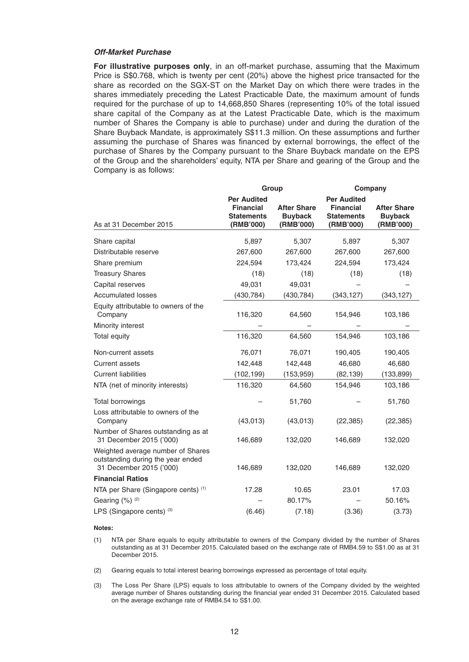#### *Off-Market Purchase*

 **For illustrative purposes only**, in an off-market purchase, assuming that the Maximum Price is S\$0.768, which is twenty per cent (20%) above the highest price transacted for the share as recorded on the SGX-ST on the Market Day on which there were trades in the shares immediately preceding the Latest Practicable Date, the maximum amount of funds required for the purchase of up to 14,668,850 Shares (representing 10% of the total issued share capital of the Company as at the Latest Practicable Date, which is the maximum number of Shares the Company is able to purchase) under and during the duration of the Share Buyback Mandate, is approximately S\$11.3 million. On these assumptions and further assuming the purchase of Shares was financed by external borrowings, the effect of the purchase of Shares by the Company pursuant to the Share Buyback mandate on the EPS of the Group and the shareholders' equity, NTA per Share and gearing of the Group and the Company is as follows:

|                                                                                                   | Group                                              |                                                   |                                                    | Company                                           |
|---------------------------------------------------------------------------------------------------|----------------------------------------------------|---------------------------------------------------|----------------------------------------------------|---------------------------------------------------|
|                                                                                                   | <b>Per Audited</b>                                 |                                                   | <b>Per Audited</b>                                 |                                                   |
| As at 31 December 2015                                                                            | <b>Financial</b><br><b>Statements</b><br>(RMB'000) | <b>After Share</b><br><b>Buyback</b><br>(RMB'000) | <b>Financial</b><br><b>Statements</b><br>(RMB'000) | <b>After Share</b><br><b>Buyback</b><br>(RMB'000) |
|                                                                                                   |                                                    |                                                   |                                                    |                                                   |
| Share capital                                                                                     | 5,897                                              | 5,307                                             | 5,897                                              | 5,307                                             |
| Distributable reserve                                                                             | 267,600                                            | 267,600                                           | 267,600                                            | 267,600                                           |
| Share premium                                                                                     | 224,594                                            | 173,424                                           | 224,594                                            | 173,424                                           |
| <b>Treasury Shares</b>                                                                            | (18)                                               | (18)                                              | (18)                                               | (18)                                              |
| Capital reserves                                                                                  | 49,031                                             | 49,031                                            |                                                    |                                                   |
| <b>Accumulated losses</b>                                                                         | (430, 784)                                         | (430, 784)                                        | (343, 127)                                         | (343, 127)                                        |
| Equity attributable to owners of the<br>Company                                                   | 116,320                                            | 64,560                                            | 154,946                                            | 103,186                                           |
| Minority interest                                                                                 |                                                    |                                                   |                                                    |                                                   |
| Total equity                                                                                      | 116,320                                            | 64,560                                            | 154,946                                            | 103,186                                           |
| Non-current assets                                                                                | 76,071                                             | 76,071                                            | 190,405                                            | 190,405                                           |
| <b>Current assets</b>                                                                             | 142,448                                            | 142,448                                           | 46,680                                             | 46,680                                            |
| <b>Current liabilities</b>                                                                        | (102, 199)                                         | (153, 959)                                        | (82, 139)                                          | (133, 899)                                        |
| NTA (net of minority interests)                                                                   | 116,320                                            | 64,560                                            | 154,946                                            | 103,186                                           |
| Total borrowings                                                                                  |                                                    | 51,760                                            |                                                    | 51,760                                            |
| Loss attributable to owners of the<br>Company                                                     | (43, 013)                                          | (43,013)                                          | (22, 385)                                          | (22, 385)                                         |
| Number of Shares outstanding as at<br>31 December 2015 ('000)                                     | 146,689                                            | 132,020                                           | 146,689                                            | 132,020                                           |
| Weighted average number of Shares<br>outstanding during the year ended<br>31 December 2015 ('000) | 146,689                                            | 132,020                                           | 146,689                                            | 132,020                                           |
| <b>Financial Ratios</b>                                                                           |                                                    |                                                   |                                                    |                                                   |
| NTA per Share (Singapore cents) (1)                                                               | 17.28                                              | 10.65                                             | 23.01                                              | 17.03                                             |
| Gearing (%) (2)                                                                                   |                                                    | 80.17%                                            |                                                    | 50.16%                                            |
| LPS (Singapore cents) (3)                                                                         | (6.46)                                             | (7.18)                                            | (3.36)                                             | (3.73)                                            |

#### **Notes:**

- (1) NTA per Share equals to equity attributable to owners of the Company divided by the number of Shares outstanding as at 31 December 2015. Calculated based on the exchange rate of RMB4.59 to S\$1.00 as at 31 December 2015.
- (2) Gearing equals to total interest bearing borrowings expressed as percentage of total equity.
- (3) The Loss Per Share (LPS) equals to loss attributable to owners of the Company divided by the weighted average number of Shares outstanding during the financial year ended 31 December 2015. Calculated based on the average exchange rate of RMB4.54 to S\$1.00.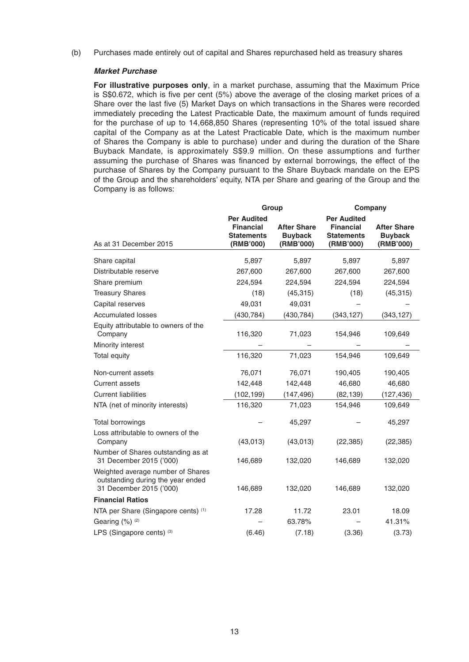(b) Purchases made entirely out of capital and Shares repurchased held as treasury shares

### *Market Purchase*

 **For illustrative purposes only**, in a market purchase, assuming that the Maximum Price is  $S$0.672$ , which is five per cent  $(5%)$  above the average of the closing market prices of a Share over the last five (5) Market Days on which transactions in the Shares were recorded immediately preceding the Latest Practicable Date, the maximum amount of funds required for the purchase of up to 14,668,850 Shares (representing 10% of the total issued share capital of the Company as at the Latest Practicable Date, which is the maximum number of Shares the Company is able to purchase) under and during the duration of the Share Buyback Mandate, is approximately S\$9.9 million. On these assumptions and further assuming the purchase of Shares was financed by external borrowings, the effect of the purchase of Shares by the Company pursuant to the Share Buyback mandate on the EPS of the Group and the shareholders' equity, NTA per Share and gearing of the Group and the Company is as follows:

|                                                                                                   | Group                          |                             |                                | Company                     |
|---------------------------------------------------------------------------------------------------|--------------------------------|-----------------------------|--------------------------------|-----------------------------|
|                                                                                                   | <b>Per Audited</b>             |                             | <b>Per Audited</b>             |                             |
|                                                                                                   | <b>Financial</b>               | <b>After Share</b>          | <b>Financial</b>               | <b>After Share</b>          |
| As at 31 December 2015                                                                            | <b>Statements</b><br>(RMB'000) | <b>Buyback</b><br>(RMB'000) | <b>Statements</b><br>(RMB'000) | <b>Buyback</b><br>(RMB'000) |
| Share capital                                                                                     | 5,897                          | 5.897                       | 5,897                          | 5,897                       |
| Distributable reserve                                                                             | 267,600                        | 267,600                     | 267,600                        | 267,600                     |
| Share premium                                                                                     | 224,594                        | 224,594                     | 224,594                        | 224,594                     |
| <b>Treasury Shares</b>                                                                            | (18)                           | (45, 315)                   | (18)                           | (45, 315)                   |
| Capital reserves                                                                                  | 49,031                         | 49,031                      |                                |                             |
| <b>Accumulated losses</b>                                                                         | (430, 784)                     | (430, 784)                  | (343, 127)                     | (343, 127)                  |
| Equity attributable to owners of the<br>Company                                                   | 116,320                        | 71,023                      | 154,946                        | 109,649                     |
| Minority interest                                                                                 |                                |                             |                                |                             |
| Total equity                                                                                      | 116,320                        | 71,023                      | 154,946                        | 109,649                     |
| Non-current assets                                                                                | 76,071                         | 76,071                      | 190,405                        | 190,405                     |
| <b>Current assets</b>                                                                             | 142,448                        | 142,448                     | 46,680                         | 46,680                      |
| <b>Current liabilities</b>                                                                        | (102, 199)                     | (147, 496)                  | (82, 139)                      | (127, 436)                  |
| NTA (net of minority interests)                                                                   | 116,320                        | 71,023                      | 154,946                        | 109,649                     |
| Total borrowings                                                                                  |                                | 45,297                      |                                | 45,297                      |
| Loss attributable to owners of the<br>Company                                                     | (43, 013)                      | (43, 013)                   | (22, 385)                      | (22, 385)                   |
| Number of Shares outstanding as at<br>31 December 2015 ('000)                                     | 146,689                        | 132,020                     | 146,689                        | 132,020                     |
| Weighted average number of Shares<br>outstanding during the year ended<br>31 December 2015 ('000) | 146,689                        | 132,020                     | 146,689                        | 132,020                     |
| <b>Financial Ratios</b>                                                                           |                                |                             |                                |                             |
| NTA per Share (Singapore cents) (1)                                                               | 17.28                          | 11.72                       | 23.01                          | 18.09                       |
| Gearing (%) (2)                                                                                   |                                | 63.78%                      |                                | 41.31%                      |
| LPS (Singapore cents) (3)                                                                         | (6.46)                         | (7.18)                      | (3.36)                         | (3.73)                      |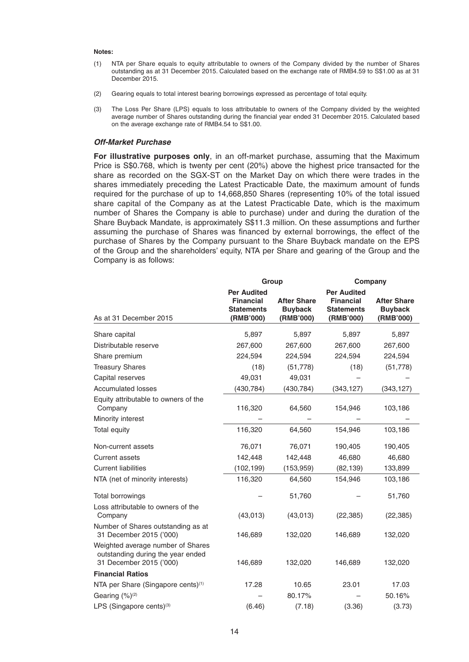#### **Notes:**

- (1) NTA per Share equals to equity attributable to owners of the Company divided by the number of Shares outstanding as at 31 December 2015. Calculated based on the exchange rate of RMB4.59 to S\$1.00 as at 31 December 2015.
- (2) Gearing equals to total interest bearing borrowings expressed as percentage of total equity.
- (3) The Loss Per Share (LPS) equals to loss attributable to owners of the Company divided by the weighted average number of Shares outstanding during the financial year ended 31 December 2015. Calculated based on the average exchange rate of RMB4.54 to S\$1.00.

# *Off-Market Purchase*

 **For illustrative purposes only**, in an off-market purchase, assuming that the Maximum Price is S\$0.768, which is twenty per cent (20%) above the highest price transacted for the share as recorded on the SGX-ST on the Market Day on which there were trades in the shares immediately preceding the Latest Practicable Date, the maximum amount of funds required for the purchase of up to 14,668,850 Shares (representing 10% of the total issued share capital of the Company as at the Latest Practicable Date, which is the maximum number of Shares the Company is able to purchase) under and during the duration of the Share Buyback Mandate, is approximately S\$11.3 million. On these assumptions and further assuming the purchase of Shares was financed by external borrowings, the effect of the purchase of Shares by the Company pursuant to the Share Buyback mandate on the EPS of the Group and the shareholders' equity, NTA per Share and gearing of the Group and the Company is as follows:

|                                                                                                   | Group                                                                    |                                                   |                                                                          | Company                                           |
|---------------------------------------------------------------------------------------------------|--------------------------------------------------------------------------|---------------------------------------------------|--------------------------------------------------------------------------|---------------------------------------------------|
| As at 31 December 2015                                                                            | <b>Per Audited</b><br><b>Financial</b><br><b>Statements</b><br>(RMB'000) | <b>After Share</b><br><b>Buyback</b><br>(RMB'000) | <b>Per Audited</b><br><b>Financial</b><br><b>Statements</b><br>(RMB'000) | <b>After Share</b><br><b>Buyback</b><br>(RMB'000) |
| Share capital                                                                                     | 5,897                                                                    | 5,897                                             | 5,897                                                                    | 5,897                                             |
| Distributable reserve                                                                             | 267,600                                                                  | 267,600                                           | 267,600                                                                  | 267,600                                           |
| Share premium                                                                                     | 224,594                                                                  | 224,594                                           | 224,594                                                                  | 224,594                                           |
| <b>Treasury Shares</b>                                                                            | (18)                                                                     | (51, 778)                                         | (18)                                                                     | (51, 778)                                         |
| Capital reserves                                                                                  | 49,031                                                                   | 49,031                                            |                                                                          |                                                   |
| <b>Accumulated losses</b>                                                                         | (430, 784)                                                               | (430, 784)                                        | (343, 127)                                                               | (343, 127)                                        |
| Equity attributable to owners of the<br>Company<br>Minority interest                              | 116,320                                                                  | 64,560                                            | 154,946                                                                  | 103,186                                           |
| Total equity                                                                                      | 116,320                                                                  | 64,560                                            | 154,946                                                                  | 103,186                                           |
| Non-current assets<br><b>Current assets</b><br><b>Current liabilities</b>                         | 76,071<br>142,448<br>(102,199)                                           | 76,071<br>142,448<br>(153, 959)                   | 190,405<br>46,680<br>(82, 139)                                           | 190,405<br>46,680<br>133,899                      |
| NTA (net of minority interests)                                                                   | 116,320                                                                  | 64,560                                            | 154,946                                                                  | 103,186                                           |
| Total borrowings<br>Loss attributable to owners of the                                            |                                                                          | 51,760                                            |                                                                          | 51,760                                            |
| Company                                                                                           | (43,013)                                                                 | (43,013)                                          | (22, 385)                                                                | (22, 385)                                         |
| Number of Shares outstanding as at<br>31 December 2015 ('000)                                     | 146,689                                                                  | 132,020                                           | 146,689                                                                  | 132,020                                           |
| Weighted average number of Shares<br>outstanding during the year ended<br>31 December 2015 ('000) | 146,689                                                                  | 132,020                                           | 146,689                                                                  | 132,020                                           |
| <b>Financial Ratios</b>                                                                           |                                                                          |                                                   |                                                                          |                                                   |
| NTA per Share (Singapore cents) <sup>(1)</sup>                                                    | 17.28                                                                    | 10.65                                             | 23.01                                                                    | 17.03                                             |
| Gearing (%) <sup>(2)</sup>                                                                        |                                                                          | 80.17%                                            |                                                                          | 50.16%                                            |
| LPS (Singapore cents) <sup>(3)</sup>                                                              | (6.46)                                                                   | (7.18)                                            | (3.36)                                                                   | (3.73)                                            |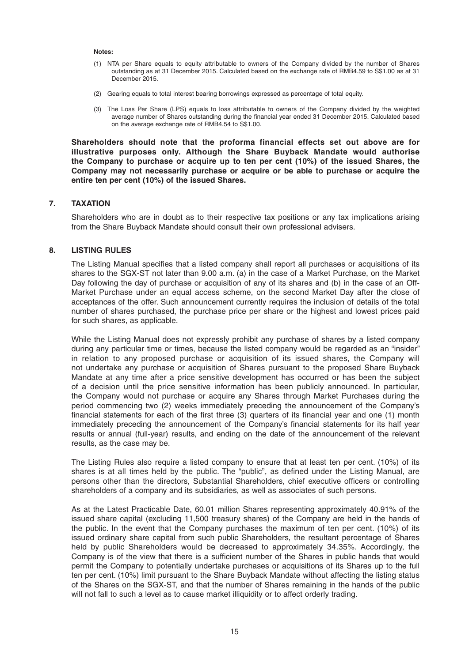#### **Notes:**

- (1) NTA per Share equals to equity attributable to owners of the Company divided by the number of Shares outstanding as at 31 December 2015. Calculated based on the exchange rate of RMB4.59 to S\$1.00 as at 31 December 2015.
- (2) Gearing equals to total interest bearing borrowings expressed as percentage of total equity.
- (3) The Loss Per Share (LPS) equals to loss attributable to owners of the Company divided by the weighted average number of Shares outstanding during the financial year ended 31 December 2015. Calculated based on the average exchange rate of RMB4.54 to S\$1.00.

 **Shareholders should note that the proforma financial effects set out above are for illustrative purposes only. Although the Share Buyback Mandate would authorise the Company to purchase or acquire up to ten per cent (10%) of the issued Shares, the Company may not necessarily purchase or acquire or be able to purchase or acquire the entire ten per cent (10%) of the issued Shares.**

# **7. TAXATION**

 Shareholders who are in doubt as to their respective tax positions or any tax implications arising from the Share Buyback Mandate should consult their own professional advisers.

# **8. LISTING RULES**

The Listing Manual specifies that a listed company shall report all purchases or acquisitions of its shares to the SGX-ST not later than 9.00 a.m. (a) in the case of a Market Purchase, on the Market Day following the day of purchase or acquisition of any of its shares and (b) in the case of an Off-Market Purchase under an equal access scheme, on the second Market Day after the close of acceptances of the offer. Such announcement currently requires the inclusion of details of the total number of shares purchased, the purchase price per share or the highest and lowest prices paid for such shares, as applicable.

 While the Listing Manual does not expressly prohibit any purchase of shares by a listed company during any particular time or times, because the listed company would be regarded as an "insider" in relation to any proposed purchase or acquisition of its issued shares, the Company will not undertake any purchase or acquisition of Shares pursuant to the proposed Share Buyback Mandate at any time after a price sensitive development has occurred or has been the subject of a decision until the price sensitive information has been publicly announced. In particular, the Company would not purchase or acquire any Shares through Market Purchases during the period commencing two (2) weeks immediately preceding the announcement of the Company's financial statements for each of the first three (3) quarters of its financial year and one (1) month immediately preceding the announcement of the Company's financial statements for its half year results or annual (full-year) results, and ending on the date of the announcement of the relevant results, as the case may be.

 The Listing Rules also require a listed company to ensure that at least ten per cent. (10%) of its shares is at all times held by the public. The "public", as defined under the Listing Manual, are persons other than the directors, Substantial Shareholders, chief executive officers or controlling shareholders of a company and its subsidiaries, as well as associates of such persons.

 As at the Latest Practicable Date, 60.01 million Shares representing approximately 40.91% of the issued share capital (excluding 11,500 treasury shares) of the Company are held in the hands of the public. In the event that the Company purchases the maximum of ten per cent. (10%) of its issued ordinary share capital from such public Shareholders, the resultant percentage of Shares held by public Shareholders would be decreased to approximately 34.35%. Accordingly, the Company is of the view that there is a sufficient number of the Shares in public hands that would permit the Company to potentially undertake purchases or acquisitions of its Shares up to the full ten per cent. (10%) limit pursuant to the Share Buyback Mandate without affecting the listing status of the Shares on the SGX-ST, and that the number of Shares remaining in the hands of the public will not fall to such a level as to cause market illiquidity or to affect orderly trading.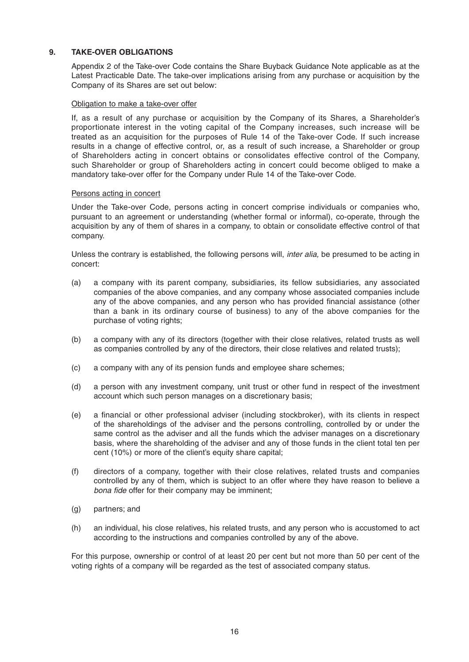# **9. TAKE-OVER OBLIGATIONS**

 Appendix 2 of the Take-over Code contains the Share Buyback Guidance Note applicable as at the Latest Practicable Date. The take-over implications arising from any purchase or acquisition by the Company of its Shares are set out below:

# Obligation to make a take-over offer

 If, as a result of any purchase or acquisition by the Company of its Shares, a Shareholder's proportionate interest in the voting capital of the Company increases, such increase will be treated as an acquisition for the purposes of Rule 14 of the Take-over Code. If such increase results in a change of effective control, or, as a result of such increase, a Shareholder or group of Shareholders acting in concert obtains or consolidates effective control of the Company, such Shareholder or group of Shareholders acting in concert could become obliged to make a mandatory take-over offer for the Company under Rule 14 of the Take-over Code.

# Persons acting in concert

 Under the Take-over Code, persons acting in concert comprise individuals or companies who, pursuant to an agreement or understanding (whether formal or informal), co-operate, through the acquisition by any of them of shares in a company, to obtain or consolidate effective control of that company.

 Unless the contrary is established, the following persons will, *inter alia,* be presumed to be acting in concert:

- (a) a company with its parent company, subsidiaries, its fellow subsidiaries, any associated companies of the above companies, and any company whose associated companies include any of the above companies, and any person who has provided financial assistance (other than a bank in its ordinary course of business) to any of the above companies for the purchase of voting rights;
- (b) a company with any of its directors (together with their close relatives, related trusts as well as companies controlled by any of the directors, their close relatives and related trusts);
- (c) a company with any of its pension funds and employee share schemes;
- (d) a person with any investment company, unit trust or other fund in respect of the investment account which such person manages on a discretionary basis;
- (e) a financial or other professional adviser (including stockbroker), with its clients in respect of the shareholdings of the adviser and the persons controlling, controlled by or under the same control as the adviser and all the funds which the adviser manages on a discretionary basis, where the shareholding of the adviser and any of those funds in the client total ten per cent (10%) or more of the client's equity share capital;
- (f) directors of a company, together with their close relatives, related trusts and companies controlled by any of them, which is subject to an offer where they have reason to believe a *bona fide* offer for their company may be imminent:
- (g) partners; and
- (h) an individual, his close relatives, his related trusts, and any person who is accustomed to act according to the instructions and companies controlled by any of the above.

 For this purpose, ownership or control of at least 20 per cent but not more than 50 per cent of the voting rights of a company will be regarded as the test of associated company status.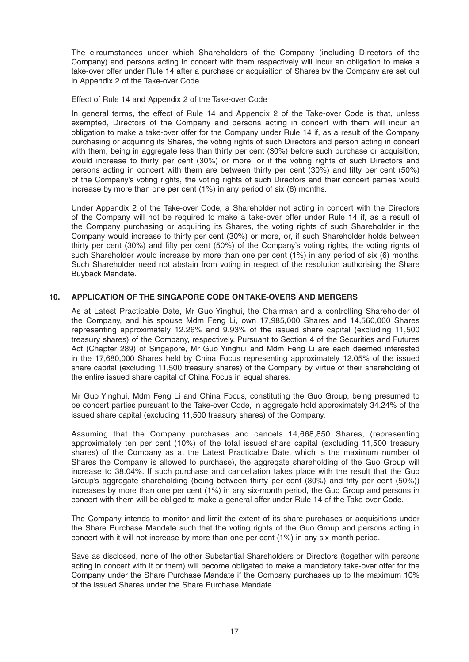The circumstances under which Shareholders of the Company (including Directors of the Company) and persons acting in concert with them respectively will incur an obligation to make a take-over offer under Rule 14 after a purchase or acquisition of Shares by the Company are set out in Appendix 2 of the Take-over Code.

# Effect of Rule 14 and Appendix 2 of the Take-over Code

 In general terms, the effect of Rule 14 and Appendix 2 of the Take-over Code is that, unless exempted, Directors of the Company and persons acting in concert with them will incur an obligation to make a take-over offer for the Company under Rule 14 if, as a result of the Company purchasing or acquiring its Shares, the voting rights of such Directors and person acting in concert with them, being in aggregate less than thirty per cent (30%) before such purchase or acquisition, would increase to thirty per cent (30%) or more, or if the voting rights of such Directors and persons acting in concert with them are between thirty per cent  $(30%)$  and fifty per cent  $(50%)$ of the Company's voting rights, the voting rights of such Directors and their concert parties would increase by more than one per cent (1%) in any period of six (6) months.

 Under Appendix 2 of the Take-over Code, a Shareholder not acting in concert with the Directors of the Company will not be required to make a take-over offer under Rule 14 if, as a result of the Company purchasing or acquiring its Shares, the voting rights of such Shareholder in the Company would increase to thirty per cent (30%) or more, or, if such Shareholder holds between thirty per cent  $(30%)$  and fifty per cent  $(50%)$  of the Company's voting rights, the voting rights of such Shareholder would increase by more than one per cent (1%) in any period of six (6) months. Such Shareholder need not abstain from voting in respect of the resolution authorising the Share Buyback Mandate.

# **10. APPLICATION OF THE SINGAPORE CODE ON TAKE-OVERS AND MERGERS**

 As at Latest Practicable Date, Mr Guo Yinghui, the Chairman and a controlling Shareholder of the Company, and his spouse Mdm Feng Li, own 17,985,000 Shares and 14,560,000 Shares representing approximately 12.26% and 9.93% of the issued share capital (excluding 11,500 treasury shares) of the Company, respectively. Pursuant to Section 4 of the Securities and Futures Act (Chapter 289) of Singapore, Mr Guo Yinghui and Mdm Feng Li are each deemed interested in the 17,680,000 Shares held by China Focus representing approximately 12.05% of the issued share capital (excluding 11,500 treasury shares) of the Company by virtue of their shareholding of the entire issued share capital of China Focus in equal shares.

 Mr Guo Yinghui, Mdm Feng Li and China Focus, constituting the Guo Group, being presumed to be concert parties pursuant to the Take-over Code, in aggregate hold approximately 34.24% of the issued share capital (excluding 11,500 treasury shares) of the Company.

 Assuming that the Company purchases and cancels 14,668,850 Shares, (representing approximately ten per cent (10%) of the total issued share capital (excluding 11,500 treasury shares) of the Company as at the Latest Practicable Date, which is the maximum number of Shares the Company is allowed to purchase), the aggregate shareholding of the Guo Group will increase to 38.04%. If such purchase and cancellation takes place with the result that the Guo Group's aggregate shareholding (being between thirty per cent (30%) and fifty per cent (50%)) increases by more than one per cent (1%) in any six-month period, the Guo Group and persons in concert with them will be obliged to make a general offer under Rule 14 of the Take-over Code.

 The Company intends to monitor and limit the extent of its share purchases or acquisitions under the Share Purchase Mandate such that the voting rights of the Guo Group and persons acting in concert with it will not increase by more than one per cent (1%) in any six-month period.

 Save as disclosed, none of the other Substantial Shareholders or Directors (together with persons acting in concert with it or them) will become obligated to make a mandatory take-over offer for the Company under the Share Purchase Mandate if the Company purchases up to the maximum 10% of the issued Shares under the Share Purchase Mandate.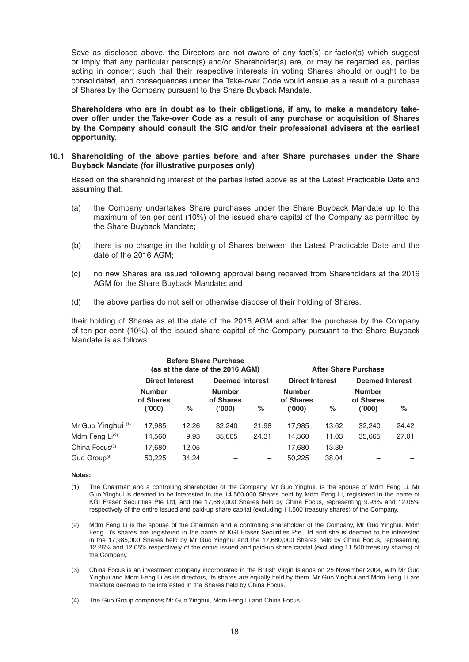Save as disclosed above, the Directors are not aware of any fact(s) or factor(s) which suggest or imply that any particular person(s) and/or Shareholder(s) are, or may be regarded as, parties acting in concert such that their respective interests in voting Shares should or ought to be consolidated, and consequences under the Take-over Code would ensue as a result of a purchase of Shares by the Company pursuant to the Share Buyback Mandate.

 **Shareholders who are in doubt as to their obligations, if any, to make a mandatory takeover offer under the Take-over Code as a result of any purchase or acquisition of Shares by the Company should consult the SIC and/or their professional advisers at the earliest opportunity.**

# **10.1 Shareholding of the above parties before and after Share purchases under the Share Buyback Mandate (for illustrative purposes only)**

 Based on the shareholding interest of the parties listed above as at the Latest Practicable Date and assuming that:

- (a) the Company undertakes Share purchases under the Share Buyback Mandate up to the maximum of ten per cent (10%) of the issued share capital of the Company as permitted by the Share Buyback Mandate;
- (b) there is no change in the holding of Shares between the Latest Practicable Date and the date of the 2016 AGM;
- (c) no new Shares are issued following approval being received from Shareholders at the 2016 AGM for the Share Buyback Mandate; and
- (d) the above parties do not sell or otherwise dispose of their holding of Shares,

 their holding of Shares as at the date of the 2016 AGM and after the purchase by the Company of ten per cent (10%) of the issued share capital of the Company pursuant to the Share Buyback Mandate is as follows:

|                            |                                     |       | <b>Before Share Purchase</b><br>(as at the date of the 2016 AGM) |                          | <b>After Share Purchase</b>          |       |                                     |       |
|----------------------------|-------------------------------------|-------|------------------------------------------------------------------|--------------------------|--------------------------------------|-------|-------------------------------------|-------|
|                            | <b>Direct Interest</b>              |       | <b>Deemed Interest</b>                                           |                          | <b>Direct Interest</b>               |       | <b>Deemed Interest</b>              |       |
|                            | <b>Number</b><br>of Shares<br>(000) | %     | <b>Number</b><br>of Shares<br>('000)                             | %                        | <b>Number</b><br>of Shares<br>('000) | %     | <b>Number</b><br>of Shares<br>(000) | %     |
|                            |                                     |       |                                                                  |                          |                                      |       |                                     |       |
| Mr Guo Yinghui (1)         | 17,985                              | 12.26 | 32,240                                                           | 21.98                    | 17,985                               | 13.62 | 32,240                              | 24.42 |
| Mdm Feng Li <sup>(2)</sup> | 14,560                              | 9.93  | 35,665                                                           | 24.31                    | 14,560                               | 11.03 | 35.665                              | 27.01 |
| China Focus <sup>(3)</sup> | 17,680                              | 12.05 |                                                                  | $\overline{\phantom{m}}$ | 17,680                               | 13.39 |                                     |       |
| Guo Group $(4)$            | 50.225                              | 34.24 |                                                                  | $\overline{\phantom{m}}$ | 50.225                               | 38.04 |                                     |       |

#### **Notes:**

- (1) The Chairman and a controlling shareholder of the Company, Mr Guo Yinghui, is the spouse of Mdm Feng Li. Mr Guo Yinghui is deemed to be interested in the 14,560,000 Shares held by Mdm Feng Li, registered in the name of KGI Fraser Securities Pte Ltd, and the 17,680,000 Shares held by China Focus, representing 9.93% and 12.05% respectively of the entire issued and paid-up share capital (excluding 11,500 treasury shares) of the Company.
- (2) Mdm Feng Li is the spouse of the Chairman and a controlling shareholder of the Company, Mr Guo Yinghui. Mdm Feng Li's shares are registered in the name of KGI Fraser Securities Pte Ltd and she is deemed to be interested in the 17,985,000 Shares held by Mr Guo Yinghui and the 17,680,000 Shares held by China Focus, representing 12.26% and 12.05% respectively of the entire issued and paid-up share capital (excluding 11,500 treasury shares) of the Company.
- (3) China Focus is an investment company incorporated in the British Virgin Islands on 25 November 2004, with Mr Guo Yinghui and Mdm Feng Li as its directors, its shares are equally held by them. Mr Guo Yinghui and Mdm Feng Li are therefore deemed to be interested in the Shares held by China Focus.
- (4) The Guo Group comprises Mr Guo Yinghui, Mdm Feng Li and China Focus.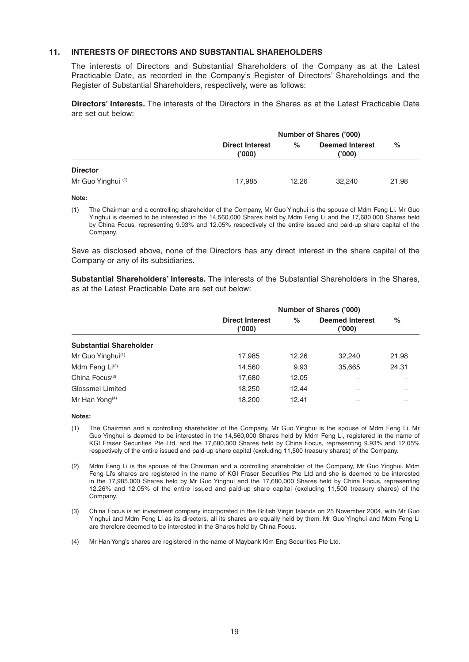# **11. INTERESTS OF DIRECTORS AND SUBSTANTIAL SHAREHOLDERS**

 The interests of Directors and Substantial Shareholders of the Company as at the Latest Practicable Date, as recorded in the Company's Register of Directors' Shareholdings and the Register of Substantial Shareholders, respectively, were as follows:

 **Directors' Interests.** The interests of the Directors in the Shares as at the Latest Practicable Date are set out below:

|                    | <b>Number of Shares ('000)</b>   |       |                                  |       |
|--------------------|----------------------------------|-------|----------------------------------|-------|
|                    | <b>Direct Interest</b><br>('000) | $\%$  | <b>Deemed Interest</b><br>('000) | %     |
| <b>Director</b>    |                                  |       |                                  |       |
| Mr Guo Yinghui (1) | 17.985                           | 12.26 | 32.240                           | 21.98 |

#### **Note:**

 (1) The Chairman and a controlling shareholder of the Company, Mr Guo Yinghui is the spouse of Mdm Feng Li. Mr Guo Yinghui is deemed to be interested in the 14,560,000 Shares held by Mdm Feng Li and the 17,680,000 Shares held by China Focus, representing 9.93% and 12.05% respectively of the entire issued and paid-up share capital of the Company.

 Save as disclosed above, none of the Directors has any direct interest in the share capital of the Company or any of its subsidiaries.

 **Substantial Shareholders' Interests.** The interests of the Substantial Shareholders in the Shares, as at the Latest Practicable Date are set out below:

|                                | <b>Number of Shares ('000)</b>   |       |                                 |       |  |
|--------------------------------|----------------------------------|-------|---------------------------------|-------|--|
|                                | <b>Direct Interest</b><br>('000) | $\%$  | <b>Deemed Interest</b><br>(000) | $\%$  |  |
| <b>Substantial Shareholder</b> |                                  |       |                                 |       |  |
| Mr Guo Yinghui <sup>(1)</sup>  | 17,985                           | 12.26 | 32,240                          | 21.98 |  |
| Mdm Feng Li <sup>(2)</sup>     | 14,560                           | 9.93  | 35,665                          | 24.31 |  |
| China Focus <sup>(3)</sup>     | 17,680                           | 12.05 |                                 |       |  |
| Glossmei Limited               | 18,250                           | 12.44 |                                 |       |  |
| Mr Han Yong <sup>(4)</sup>     | 18,200                           | 12.41 |                                 |       |  |

 **Notes:**

- (1) The Chairman and a controlling shareholder of the Company, Mr Guo Yinghui is the spouse of Mdm Feng Li. Mr Guo Yinghui is deemed to be interested in the 14,560,000 Shares held by Mdm Feng Li, registered in the name of KGI Fraser Securities Pte Ltd, and the 17,680,000 Shares held by China Focus, representing 9.93% and 12.05% respectively of the entire issued and paid-up share capital (excluding 11,500 treasury shares) of the Company.
- (2) Mdm Feng Li is the spouse of the Chairman and a controlling shareholder of the Company, Mr Guo Yinghui. Mdm Feng Li's shares are registered in the name of KGI Fraser Securities Pte Ltd and she is deemed to be interested in the 17,985,000 Shares held by Mr Guo Yinghui and the 17,680,000 Shares held by China Focus, representing 12.26% and 12.05% of the entire issued and paid-up share capital (excluding 11,500 treasury shares) of the Company.
- (3) China Focus is an investment company incorporated in the British Virgin Islands on 25 November 2004, with Mr Guo Yinghui and Mdm Feng Li as its directors, all its shares are equally held by them. Mr Guo Yinghui and Mdm Feng Li are therefore deemed to be interested in the Shares held by China Focus.
- (4) Mr Han Yong's shares are registered in the name of Maybank Kim Eng Securities Pte Ltd.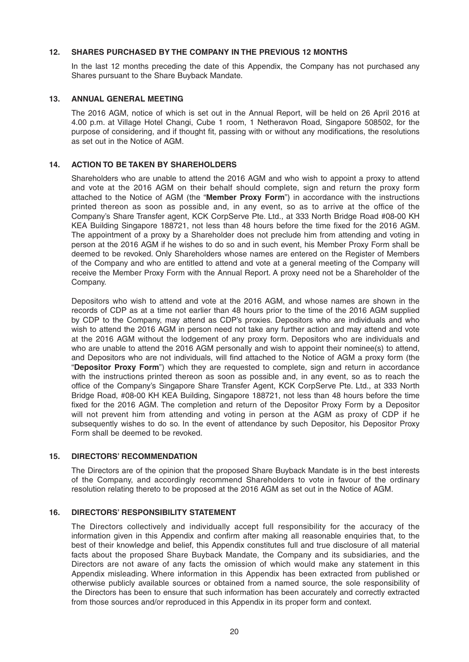# **12. SHARES PURCHASED BY THE COMPANY IN THE PREVIOUS 12 MONTHS**

 In the last 12 months preceding the date of this Appendix, the Company has not purchased any Shares pursuant to the Share Buyback Mandate.

# **13. ANNUAL GENERAL MEETING**

 The 2016 AGM, notice of which is set out in the Annual Report, will be held on 26 April 2016 at 4.00 p.m. at Village Hotel Changi, Cube 1 room, 1 Netheravon Road, Singapore 508502, for the purpose of considering, and if thought fit, passing with or without any modifications, the resolutions as set out in the Notice of AGM.

# **14. ACTION TO BE TAKEN BY SHAREHOLDERS**

 Shareholders who are unable to attend the 2016 AGM and who wish to appoint a proxy to attend and vote at the 2016 AGM on their behalf should complete, sign and return the proxy form attached to the Notice of AGM (the "**Member Proxy Form**") in accordance with the instructions printed thereon as soon as possible and, in any event, so as to arrive at the office of the Company's Share Transfer agent, KCK CorpServe Pte. Ltd., at 333 North Bridge Road #08-00 KH KEA Building Singapore 188721, not less than 48 hours before the time fixed for the 2016 AGM. The appointment of a proxy by a Shareholder does not preclude him from attending and voting in person at the 2016 AGM if he wishes to do so and in such event, his Member Proxy Form shall be deemed to be revoked. Only Shareholders whose names are entered on the Register of Members of the Company and who are entitled to attend and vote at a general meeting of the Company will receive the Member Proxy Form with the Annual Report. A proxy need not be a Shareholder of the Company.

 Depositors who wish to attend and vote at the 2016 AGM, and whose names are shown in the records of CDP as at a time not earlier than 48 hours prior to the time of the 2016 AGM supplied by CDP to the Company, may attend as CDP's proxies. Depositors who are individuals and who wish to attend the 2016 AGM in person need not take any further action and may attend and vote at the 2016 AGM without the lodgement of any proxy form. Depositors who are individuals and who are unable to attend the 2016 AGM personally and wish to appoint their nominee(s) to attend, and Depositors who are not individuals, will find attached to the Notice of AGM a proxy form (the "**Depositor Proxy Form**") which they are requested to complete, sign and return in accordance with the instructions printed thereon as soon as possible and, in any event, so as to reach the office of the Company's Singapore Share Transfer Agent, KCK CorpServe Pte. Ltd., at 333 North Bridge Road, #08-00 KH KEA Building, Singapore 188721, not less than 48 hours before the time fixed for the 2016 AGM. The completion and return of the Depositor Proxy Form by a Depositor will not prevent him from attending and voting in person at the AGM as proxy of CDP if he subsequently wishes to do so. In the event of attendance by such Depositor, his Depositor Proxy Form shall be deemed to be revoked.

# **15. DIRECTORS' RECOMMENDATION**

 The Directors are of the opinion that the proposed Share Buyback Mandate is in the best interests of the Company, and accordingly recommend Shareholders to vote in favour of the ordinary resolution relating thereto to be proposed at the 2016 AGM as set out in the Notice of AGM.

# **16. DIRECTORS' RESPONSIBILITY STATEMENT**

 The Directors collectively and individually accept full responsibility for the accuracy of the information given in this Appendix and confirm after making all reasonable enquiries that, to the best of their knowledge and belief, this Appendix constitutes full and true disclosure of all material facts about the proposed Share Buyback Mandate, the Company and its subsidiaries, and the Directors are not aware of any facts the omission of which would make any statement in this Appendix misleading. Where information in this Appendix has been extracted from published or otherwise publicly available sources or obtained from a named source, the sole responsibility of the Directors has been to ensure that such information has been accurately and correctly extracted from those sources and/or reproduced in this Appendix in its proper form and context.